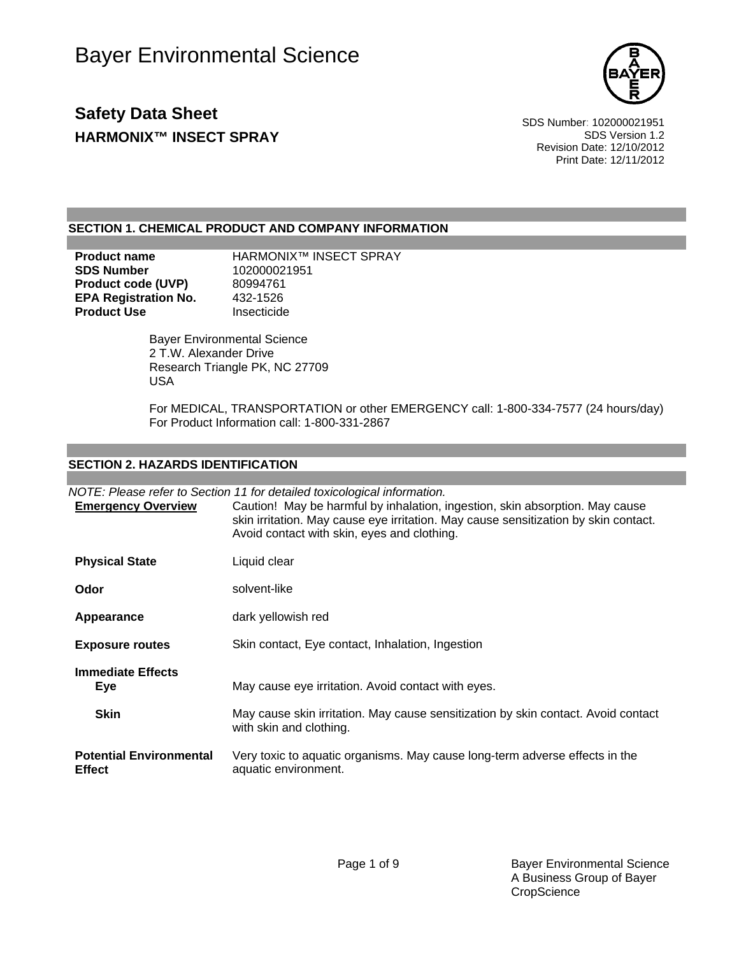

# **Safety Data Sheet** Safety Data Sheet Separate Specific Specific SDS Number: 102000021951 **HARMONIX™ INSECT SPRAY SDS** Version 1.2

Revision Date: 12/10/2012 Print Date: 12/11/2012

### **SECTION 1. CHEMICAL PRODUCT AND COMPANY INFORMATION**

**Product name** HARMONIX™ INSECT SPRAY **SDS Number** 102000021951 **Product code (UVP)** 80994761<br>**EPA Registration No.** 432-1526 **EPA Registration No.** 432-1526<br>**Product Use** Insecticide **Product Use** 

> Bayer Environmental Science 2 T.W. Alexander Drive Research Triangle PK, NC 27709 USA

For MEDICAL, TRANSPORTATION or other EMERGENCY call: 1-800-334-7577 (24 hours/day) For Product Information call: 1-800-331-2867

### **SECTION 2. HAZARDS IDENTIFICATION**

*NOTE: Please refer to Section 11 for detailed toxicological information.*

| <b>Emergency Overview</b>                       | Caution! May be harmful by inhalation, ingestion, skin absorption. May cause<br>skin irritation. May cause eye irritation. May cause sensitization by skin contact.<br>Avoid contact with skin, eyes and clothing. |
|-------------------------------------------------|--------------------------------------------------------------------------------------------------------------------------------------------------------------------------------------------------------------------|
| <b>Physical State</b>                           | Liquid clear                                                                                                                                                                                                       |
| Odor                                            | solvent-like                                                                                                                                                                                                       |
| Appearance                                      | dark yellowish red                                                                                                                                                                                                 |
| <b>Exposure routes</b>                          | Skin contact, Eye contact, Inhalation, Ingestion                                                                                                                                                                   |
| <b>Immediate Effects</b><br><b>Eye</b>          | May cause eye irritation. Avoid contact with eyes.                                                                                                                                                                 |
| <b>Skin</b>                                     | May cause skin irritation. May cause sensitization by skin contact. Avoid contact<br>with skin and clothing.                                                                                                       |
| <b>Potential Environmental</b><br><b>Effect</b> | Very toxic to aquatic organisms. May cause long-term adverse effects in the<br>aquatic environment.                                                                                                                |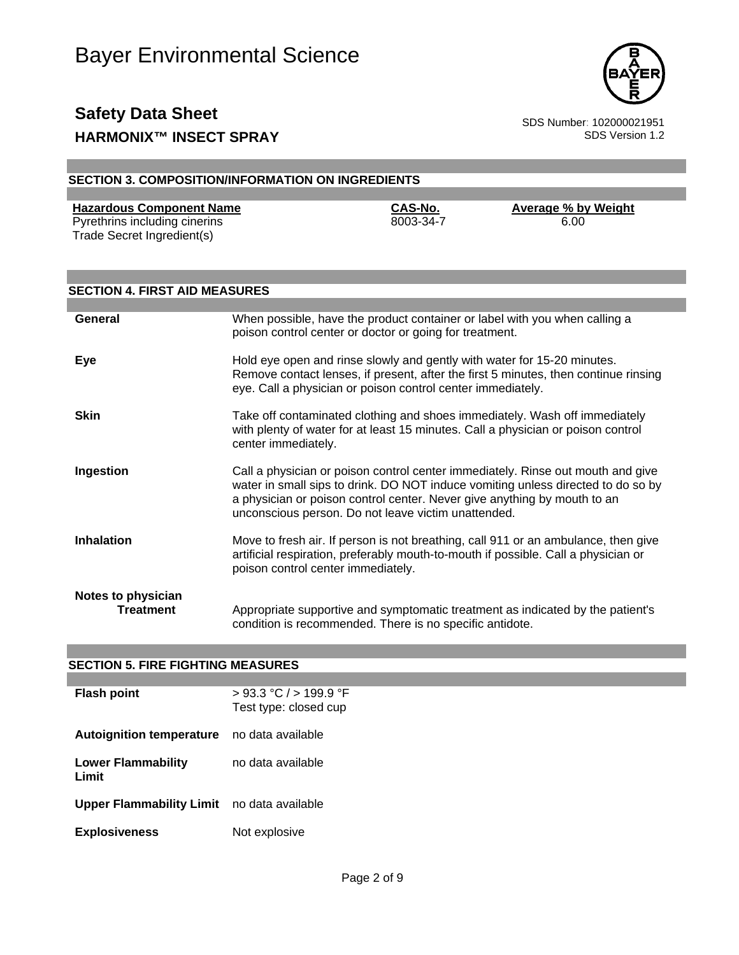

## **Safety Data Sheet**<br>
HARMONIX™ INSECT SPRAY<br>
SDS Version 1.2 **HARMONIX™ INSECT SPRAY**

| <b>SECTION 3. COMPOSITION/INFORMATION ON INGREDIENTS</b>                                       |                                                                                                                                                                                                                               |                      |                                                                                                                                                                          |  |
|------------------------------------------------------------------------------------------------|-------------------------------------------------------------------------------------------------------------------------------------------------------------------------------------------------------------------------------|----------------------|--------------------------------------------------------------------------------------------------------------------------------------------------------------------------|--|
|                                                                                                |                                                                                                                                                                                                                               |                      |                                                                                                                                                                          |  |
| <b>Hazardous Component Name</b><br>Pyrethrins including cinerins<br>Trade Secret Ingredient(s) |                                                                                                                                                                                                                               | CAS-No.<br>8003-34-7 | <b>Average % by Weight</b><br>6.00                                                                                                                                       |  |
| <b>SECTION 4. FIRST AID MEASURES</b>                                                           |                                                                                                                                                                                                                               |                      |                                                                                                                                                                          |  |
|                                                                                                |                                                                                                                                                                                                                               |                      |                                                                                                                                                                          |  |
| General                                                                                        | poison control center or doctor or going for treatment.                                                                                                                                                                       |                      | When possible, have the product container or label with you when calling a                                                                                               |  |
| Eye                                                                                            | Hold eye open and rinse slowly and gently with water for 15-20 minutes.<br>Remove contact lenses, if present, after the first 5 minutes, then continue rinsing<br>eye. Call a physician or poison control center immediately. |                      |                                                                                                                                                                          |  |
| <b>Skin</b>                                                                                    | Take off contaminated clothing and shoes immediately. Wash off immediately<br>with plenty of water for at least 15 minutes. Call a physician or poison control<br>center immediately.                                         |                      |                                                                                                                                                                          |  |
| Ingestion                                                                                      | a physician or poison control center. Never give anything by mouth to an<br>unconscious person. Do not leave victim unattended.                                                                                               |                      | Call a physician or poison control center immediately. Rinse out mouth and give<br>water in small sips to drink. DO NOT induce vomiting unless directed to do so by      |  |
| Inhalation                                                                                     | poison control center immediately.                                                                                                                                                                                            |                      | Move to fresh air. If person is not breathing, call 911 or an ambulance, then give<br>artificial respiration, preferably mouth-to-mouth if possible. Call a physician or |  |
| <b>Notes to physician</b>                                                                      |                                                                                                                                                                                                                               |                      |                                                                                                                                                                          |  |

**Treatment** Appropriate supportive and symptomatic treatment as indicated by the patient's condition is recommended. There is no specific antidote.

### **SECTION 5. FIRE FIGHTING MEASURES**

| <b>Flash point</b>              | $>93.3$ °C $/$ > 199.9 °F<br>Test type: closed cup |
|---------------------------------|----------------------------------------------------|
| <b>Autoignition temperature</b> | no data available                                  |
| Lower Flammability<br>Limit     | no data available                                  |
| <b>Upper Flammability Limit</b> | no data available                                  |
| <b>Explosiveness</b>            | Not explosive                                      |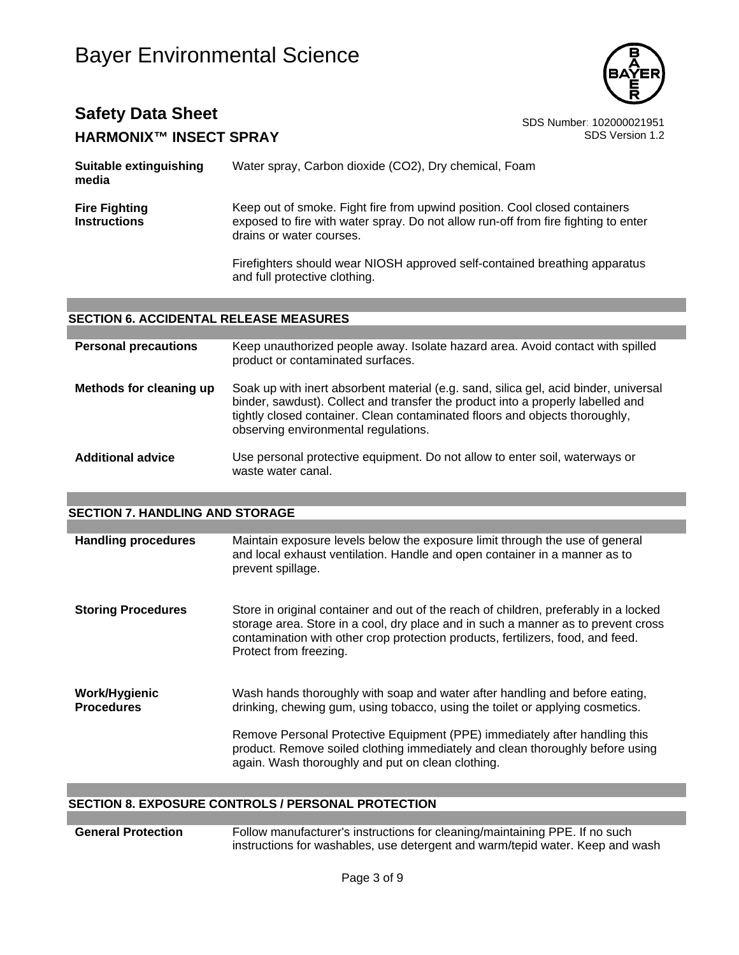

### **Safety Data Sheet**<br> **HARMONIXTM INSECT SPRAY** SDS Number: 102000021951 **HARMONIX™ INSECT SPRAY**

| Suitable extinguishing<br>media             | Water spray, Carbon dioxide (CO2), Dry chemical, Foam                                                                                                                                        |  |  |
|---------------------------------------------|----------------------------------------------------------------------------------------------------------------------------------------------------------------------------------------------|--|--|
| <b>Fire Fighting</b><br><b>Instructions</b> | Keep out of smoke. Fight fire from upwind position. Cool closed containers<br>exposed to fire with water spray. Do not allow run-off from fire fighting to enter<br>drains or water courses. |  |  |
|                                             | Firefighters should wear NIOSH approved self-contained breathing apparatus<br>and full protective clothing.                                                                                  |  |  |

#### **SECTION 6. ACCIDENTAL RELEASE MEASURES**

| <b>Personal precautions</b> | Keep unauthorized people away. Isolate hazard area. Avoid contact with spilled<br>product or contaminated surfaces.                                                                                                                                                                            |
|-----------------------------|------------------------------------------------------------------------------------------------------------------------------------------------------------------------------------------------------------------------------------------------------------------------------------------------|
| Methods for cleaning up     | Soak up with inert absorbent material (e.g. sand, silica gel, acid binder, universal<br>binder, sawdust). Collect and transfer the product into a properly labelled and<br>tightly closed container. Clean contaminated floors and objects thoroughly,<br>observing environmental regulations. |
| <b>Additional advice</b>    | Use personal protective equipment. Do not allow to enter soil, waterways or<br>waste water canal.                                                                                                                                                                                              |

#### **SECTION 7. HANDLING AND STORAGE**

| <b>Handling procedures</b>         | Maintain exposure levels below the exposure limit through the use of general<br>and local exhaust ventilation. Handle and open container in a manner as to<br>prevent spillage.                                                                                                        |
|------------------------------------|----------------------------------------------------------------------------------------------------------------------------------------------------------------------------------------------------------------------------------------------------------------------------------------|
| <b>Storing Procedures</b>          | Store in original container and out of the reach of children, preferably in a locked<br>storage area. Store in a cool, dry place and in such a manner as to prevent cross<br>contamination with other crop protection products, fertilizers, food, and feed.<br>Protect from freezing. |
| Work/Hygienic<br><b>Procedures</b> | Wash hands thoroughly with soap and water after handling and before eating,<br>drinking, chewing gum, using tobacco, using the toilet or applying cosmetics.                                                                                                                           |
|                                    | Remove Personal Protective Equipment (PPE) immediately after handling this<br>product. Remove soiled clothing immediately and clean thoroughly before using<br>again. Wash thoroughly and put on clean clothing.                                                                       |

#### **SECTION 8. EXPOSURE CONTROLS / PERSONAL PROTECTION**

#### **General Protection** Follow manufacturer's instructions for cleaning/maintaining PPE. If no such instructions for washables, use detergent and warm/tepid water. Keep and wash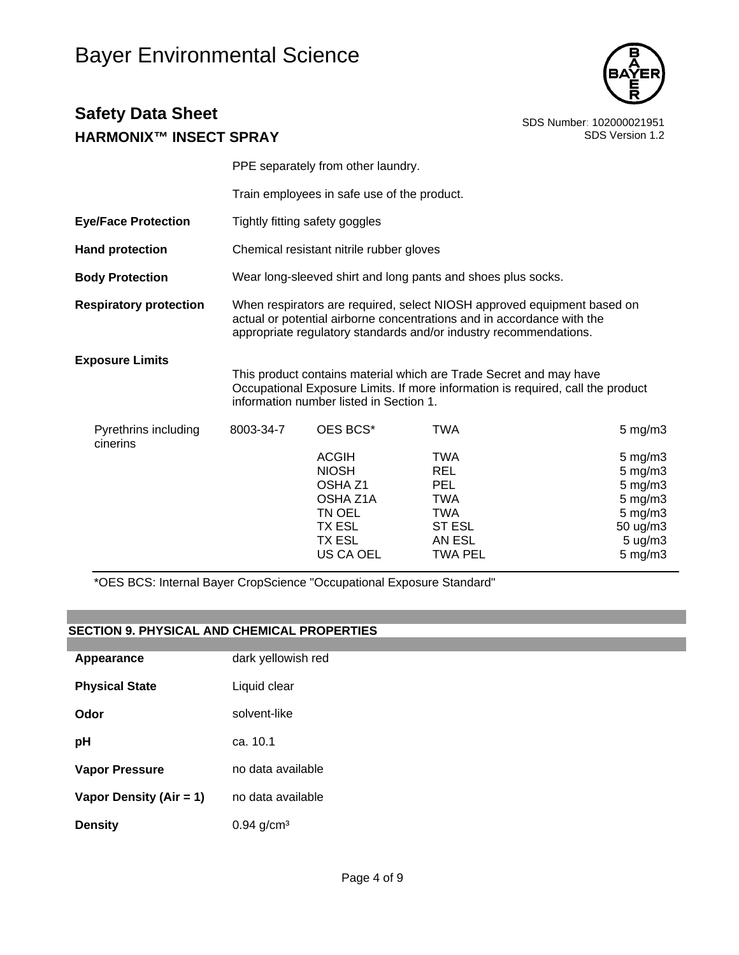

# **Safety Data Sheet**<br> **EXPIRITE SOS Number**: 102000021951<br>
SDS Version 1.2 **HARMONIY™ INSECT SPRAY**

| <u> HANMUNIA WINJEUT JENAT</u>   |           |                                                                                                                                                                                                                        |                                                                                                                                                       |                                                                                                |  |
|----------------------------------|-----------|------------------------------------------------------------------------------------------------------------------------------------------------------------------------------------------------------------------------|-------------------------------------------------------------------------------------------------------------------------------------------------------|------------------------------------------------------------------------------------------------|--|
|                                  |           | PPE separately from other laundry.                                                                                                                                                                                     |                                                                                                                                                       |                                                                                                |  |
|                                  |           | Train employees in safe use of the product.                                                                                                                                                                            |                                                                                                                                                       |                                                                                                |  |
| <b>Eye/Face Protection</b>       |           | Tightly fitting safety goggles                                                                                                                                                                                         |                                                                                                                                                       |                                                                                                |  |
| <b>Hand protection</b>           |           | Chemical resistant nitrile rubber gloves                                                                                                                                                                               |                                                                                                                                                       |                                                                                                |  |
| <b>Body Protection</b>           |           | Wear long-sleeved shirt and long pants and shoes plus socks.                                                                                                                                                           |                                                                                                                                                       |                                                                                                |  |
| <b>Respiratory protection</b>    |           | When respirators are required, select NIOSH approved equipment based on<br>actual or potential airborne concentrations and in accordance with the<br>appropriate regulatory standards and/or industry recommendations. |                                                                                                                                                       |                                                                                                |  |
| <b>Exposure Limits</b>           |           | information number listed in Section 1.                                                                                                                                                                                | This product contains material which are Trade Secret and may have<br>Occupational Exposure Limits. If more information is required, call the product |                                                                                                |  |
| Pyrethrins including<br>cinerins | 8003-34-7 | OES BCS*                                                                                                                                                                                                               | <b>TWA</b>                                                                                                                                            | $5 \text{ mg/m}$                                                                               |  |
|                                  |           | <b>ACGIH</b><br><b>NIOSH</b><br>OSHA Z1<br>OSHA Z1A<br>TN OEL<br>TX ESL<br>TX ESL<br>US CA OEL                                                                                                                         | <b>TWA</b><br><b>REL</b><br><b>PEL</b><br><b>TWA</b><br><b>TWA</b><br><b>ST ESL</b><br>AN ESL<br><b>TWA PEL</b>                                       | 5 mg/m3<br>$5 \text{ mg/m}$<br>5 mg/m3<br>5 mg/m3<br>5 mg/m3<br>50 ug/m3<br>5 ug/m3<br>5 mg/m3 |  |

\*OES BCS: Internal Bayer CropScience "Occupational Exposure Standard"

### **SECTION 9. PHYSICAL AND CHEMICAL PROPERTIES**

| Appearance              | dark yellowish red       |
|-------------------------|--------------------------|
| <b>Physical State</b>   | Liquid clear             |
| Odor                    | solvent-like             |
| рH                      | ca. 10.1                 |
| Vapor Pressure          | no data available        |
| Vapor Density (Air = 1) | no data available        |
| <b>Density</b>          | $0.94$ g/cm <sup>3</sup> |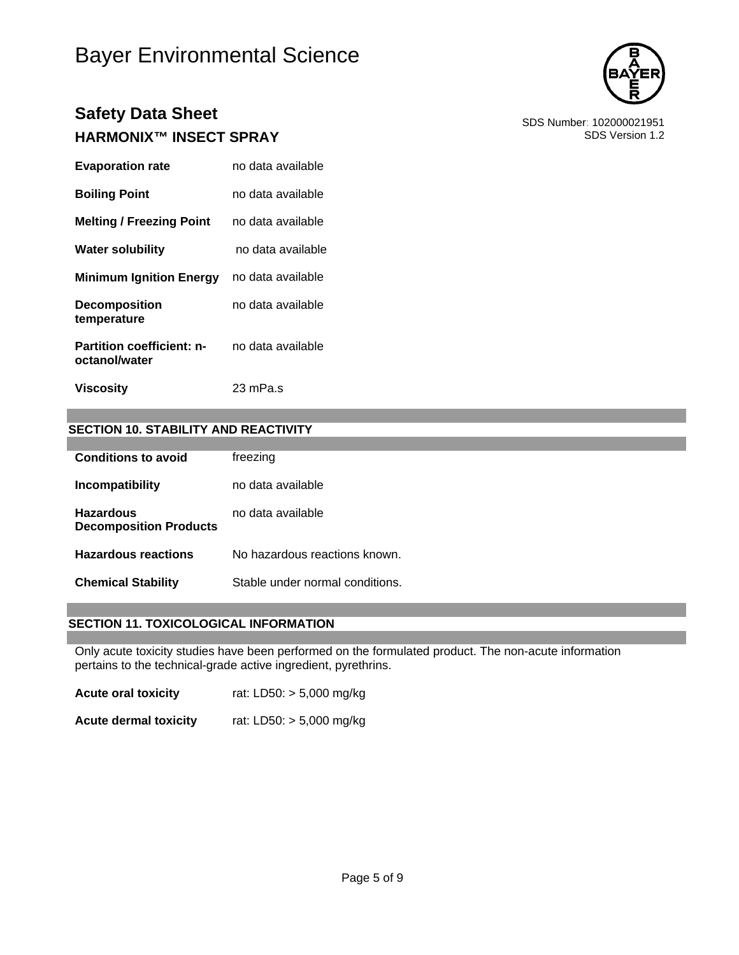

## **Safety Data Sheet**<br> **HARMONIXTM INSECT SPRAY** SDS Number: 102000021951 **HARMONIX™ INSECT SPRAY**

| <b>Evaporation rate</b>                           | no data available |
|---------------------------------------------------|-------------------|
| <b>Boiling Point</b>                              | no data available |
| <b>Melting / Freezing Point</b>                   | no data available |
| <b>Water solubility</b>                           | no data available |
| <b>Minimum Ignition Energy</b>                    | no data available |
| <b>Decomposition</b><br>temperature               | no data available |
| <b>Partition coefficient: n-</b><br>octanol/water | no data available |
| <b>Viscosity</b>                                  | 23 mPa.s          |

### **SECTION 10. STABILITY AND REACTIVITY**

| <b>Conditions to avoid</b>                        | freezing                        |
|---------------------------------------------------|---------------------------------|
| Incompatibility                                   | no data available.              |
| <b>Hazardous</b><br><b>Decomposition Products</b> | no data available               |
| <b>Hazardous reactions</b>                        | No hazardous reactions known.   |
| <b>Chemical Stability</b>                         | Stable under normal conditions. |

#### **SECTION 11. TOXICOLOGICAL INFORMATION**

Only acute toxicity studies have been performed on the formulated product. The non-acute information pertains to the technical-grade active ingredient, pyrethrins.

**Acute oral toxicity** rat: LD50: > 5,000 mg/kg

**Acute dermal toxicity** rat: LD50: > 5,000 mg/kg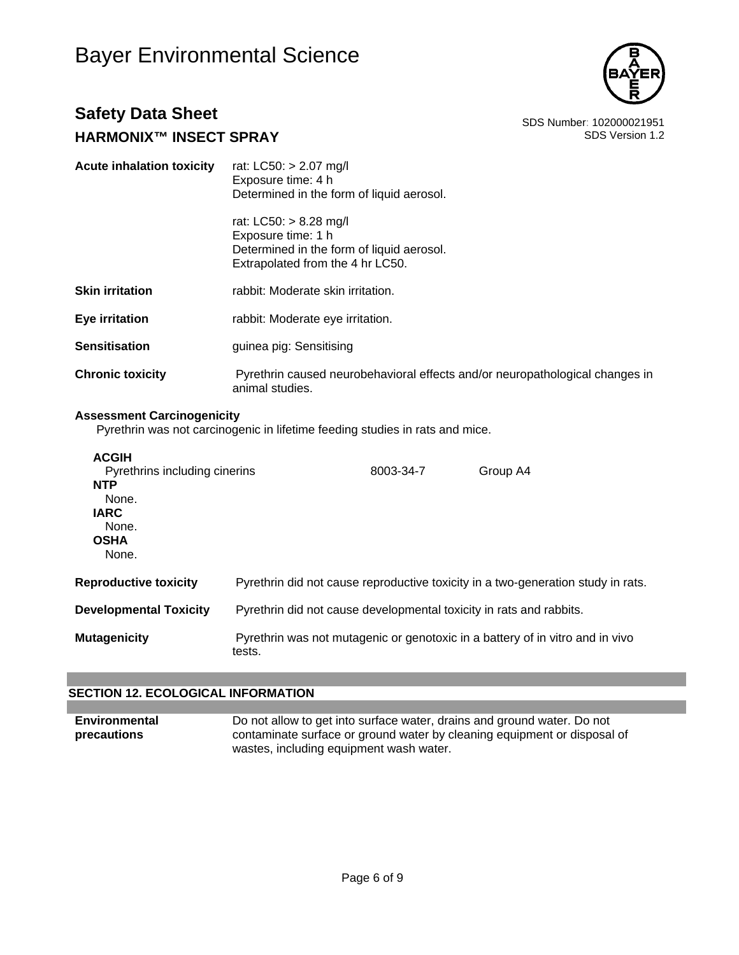

## **Safety Data Sheet**<br>BDS Number: 102000021951<br>SDS Version 1.2 **HARMONIX™ INSECT SPRAY**

| <b>Acute inhalation toxicity</b> | rat: LC50: > 2.07 mg/l<br>Exposure time: 4 h<br>Determined in the form of liquid aerosol.                                     |
|----------------------------------|-------------------------------------------------------------------------------------------------------------------------------|
|                                  | rat: LC50: > 8.28 mg/l<br>Exposure time: 1 h<br>Determined in the form of liquid aerosol.<br>Extrapolated from the 4 hr LC50. |
| <b>Skin irritation</b>           | rabbit: Moderate skin irritation.                                                                                             |
| Eye irritation                   | rabbit: Moderate eye irritation.                                                                                              |
| Sensitisation                    | guinea pig: Sensitising                                                                                                       |
| <b>Chronic toxicity</b>          | Pyrethrin caused neurobehavioral effects and/or neuropathological changes in<br>animal studies.                               |

#### **Assessment Carcinogenicity**

Pyrethrin was not carcinogenic in lifetime feeding studies in rats and mice.

| <b>ACGIH</b><br>Pyrethrins including cinerins<br><b>NTP</b><br>None.<br><b>IARC</b><br>None.<br><b>OSHA</b><br>None. |                                                                     | 8003-34-7 | Group A4                                                                         |
|----------------------------------------------------------------------------------------------------------------------|---------------------------------------------------------------------|-----------|----------------------------------------------------------------------------------|
| <b>Reproductive toxicity</b>                                                                                         |                                                                     |           | Pyrethrin did not cause reproductive toxicity in a two-generation study in rats. |
| <b>Developmental Toxicity</b>                                                                                        | Pyrethrin did not cause developmental toxicity in rats and rabbits. |           |                                                                                  |
| Mutagenicity                                                                                                         | tests.                                                              |           | Pyrethrin was not mutagenic or genotoxic in a battery of in vitro and in vivo    |

### **SECTION 12. ECOLOGICAL INFORMATION**

**Environmental precautions**  Do not allow to get into surface water, drains and ground water. Do not contaminate surface or ground water by cleaning equipment or disposal of wastes, including equipment wash water.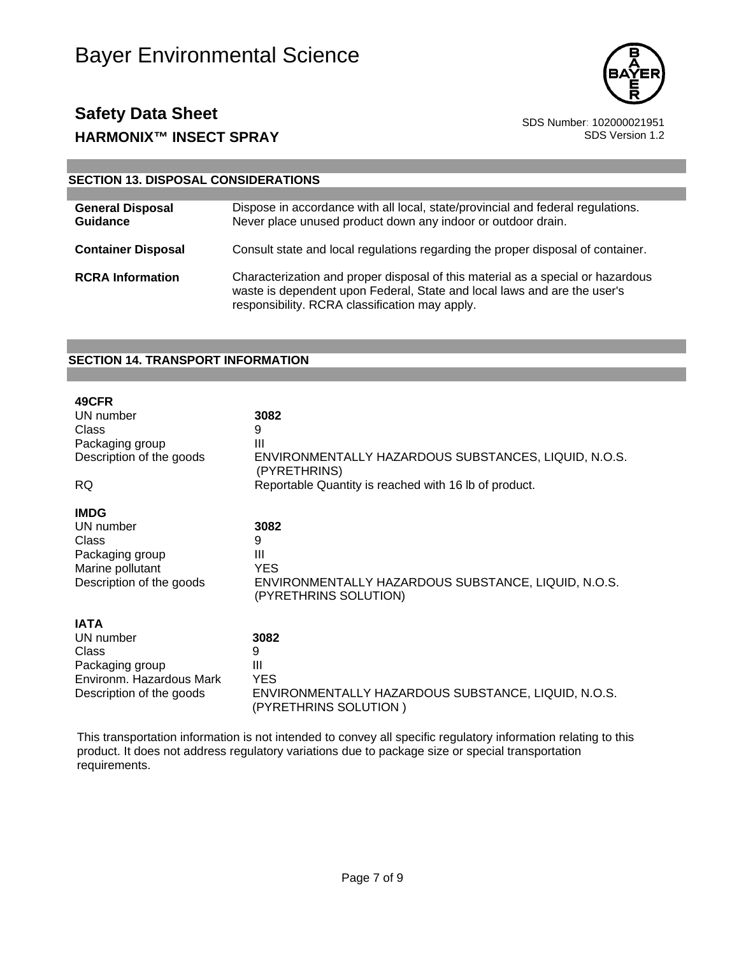



### **SECTION 13. DISPOSAL CONSIDERATIONS**

| <b>General Disposal</b><br>Guidance | Dispose in accordance with all local, state/provincial and federal regulations.<br>Never place unused product down any indoor or outdoor drain.                                                               |
|-------------------------------------|---------------------------------------------------------------------------------------------------------------------------------------------------------------------------------------------------------------|
| <b>Container Disposal</b>           | Consult state and local regulations regarding the proper disposal of container.                                                                                                                               |
| <b>RCRA Information</b>             | Characterization and proper disposal of this material as a special or hazardous<br>waste is dependent upon Federal, State and local laws and are the user's<br>responsibility. RCRA classification may apply. |

#### **SECTION 14. TRANSPORT INFORMATION**

| 49CFR                    | 3082                                                  |
|--------------------------|-------------------------------------------------------|
| UN number                | 9                                                     |
| Class                    | Ш                                                     |
| Packaging group          | ENVIRONMENTALLY HAZARDOUS SUBSTANCES, LIQUID, N.O.S.  |
| Description of the goods | (PYRETHRINS)                                          |
| RQ.                      | Reportable Quantity is reached with 16 lb of product. |
| <b>IMDG</b>              | 3082                                                  |
| UN number                | 9                                                     |
| Class                    | Ш                                                     |
| Packaging group          | <b>YES</b>                                            |
| Marine pollutant         | ENVIRONMENTALLY HAZARDOUS SUBSTANCE, LIQUID, N.O.S.   |
| Description of the goods | (PYRETHRINS SOLUTION)                                 |
| <b>IATA</b>              | 3082                                                  |
| UN number                | 9                                                     |
| Class                    | Ш                                                     |
| Packaging group          | <b>YES</b>                                            |
| Environm. Hazardous Mark | ENVIRONMENTALLY HAZARDOUS SUBSTANCE, LIQUID, N.O.S.   |
| Description of the goods | (PYRETHRINS SOLUTION)                                 |

This transportation information is not intended to convey all specific regulatory information relating to this product. It does not address regulatory variations due to package size or special transportation requirements.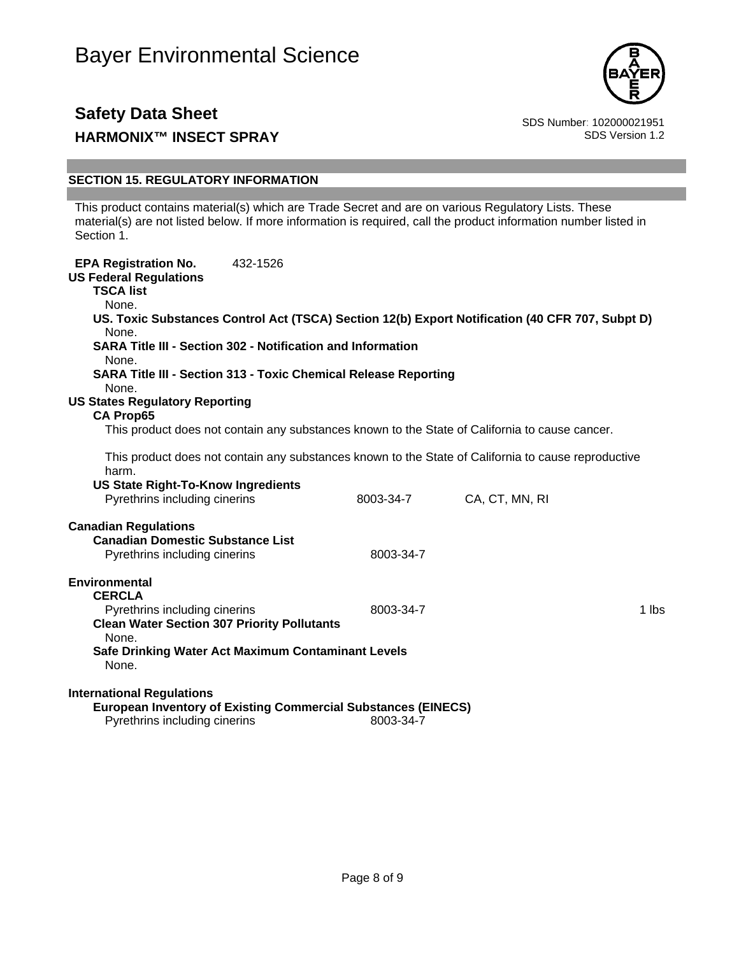

## **Safety Data Sheet**<br>BDS Number: 102000021951<br>SDS Version 1.2 **HARMONIX™ INSECT SPRAY**

### **SECTION 15. REGULATORY INFORMATION**

This product contains material(s) which are Trade Secret and are on various Regulatory Lists. These material(s) are not listed below. If more information is required, call the product information number listed in Section 1.

| <b>EPA Registration No.</b><br><b>US Federal Regulations</b><br><b>TSCA list</b><br>None.<br>None.<br><b>SARA Title III - Section 302 - Notification and Information</b>             | 432-1526 |           | US. Toxic Substances Control Act (TSCA) Section 12(b) Export Notification (40 CFR 707, Subpt D)                       |       |
|--------------------------------------------------------------------------------------------------------------------------------------------------------------------------------------|----------|-----------|-----------------------------------------------------------------------------------------------------------------------|-------|
| None.<br><b>SARA Title III - Section 313 - Toxic Chemical Release Reporting</b><br>None.                                                                                             |          |           |                                                                                                                       |       |
| <b>US States Regulatory Reporting</b><br><b>CA Prop65</b>                                                                                                                            |          |           | This product does not contain any substances known to the State of California to cause cancer.                        |       |
| harm.<br><b>US State Right-To-Know Ingredients</b><br>Pyrethrins including cinerins                                                                                                  |          | 8003-34-7 | This product does not contain any substances known to the State of California to cause reproductive<br>CA, CT, MN, RI |       |
| <b>Canadian Regulations</b><br><b>Canadian Domestic Substance List</b><br>Pyrethrins including cinerins                                                                              |          | 8003-34-7 |                                                                                                                       |       |
| Environmental<br><b>CERCLA</b><br>Pyrethrins including cinerins<br><b>Clean Water Section 307 Priority Pollutants</b><br>None.<br>Safe Drinking Water Act Maximum Contaminant Levels |          | 8003-34-7 |                                                                                                                       | 1 lbs |
| None.<br><b>International Regulations</b><br><b>European Inventory of Existing Commercial Substances (EINECS)</b><br>Pyrethrins including cinerins                                   |          | 8003-34-7 |                                                                                                                       |       |